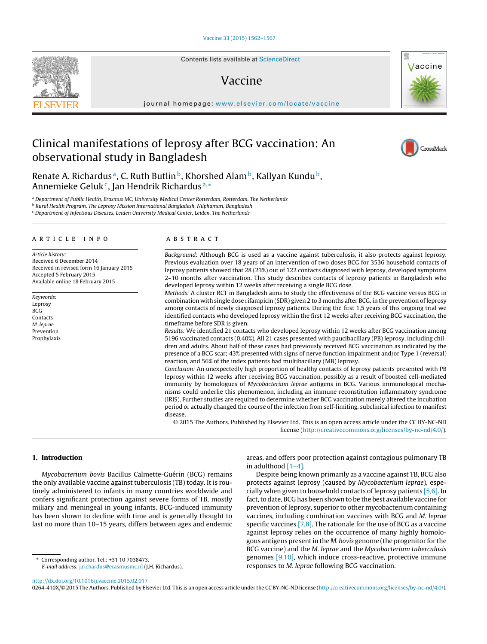Contents lists available at [ScienceDirect](http://www.sciencedirect.com/science/journal/0264410X)

# Vaccine

iournal homepage: [www.elsevier.com/locate/vaccine](http://www.elsevier.com/locate/vaccine)

# Clinical manifestations of leprosy after BCG vaccination: An observational study in Bangladesh

Renate A. Richardus<sup>a</sup>, C. Ruth Butlin<sup>b</sup>, Khorshed Alam<sup>b</sup>, Kallyan Kundu<sup>b</sup>, Annemieke Geluk<sup>c</sup>, Jan Hendrik Richardus<sup>a,\*</sup>

a Department of Public Health, Erasmus MC, University Medical Center Rotterdam, Rotterdam, The Netherlands

**b Rural Health Program, The Leprosy Mission International Bangladesh, Nilphamari, Bangladesh** 

<sup>c</sup> Department of Infectious Diseases, Leiden University Medical Center, Leiden, The Netherlands

## ARTICLE INFO

Article history: Received 6 December 2014 Received in revised form 16 January 2015 Accepted 5 February 2015 Available online 18 February 2015

Keywords: Leprosy BCG Contacts M. leprae Prevention Prophylaxis

## A B S T R A C T

Background: Although BCG is used as a vaccine against tuberculosis, it also protects against leprosy. Previous evaluation over 18 years of an intervention of two doses BCG for 3536 household contacts of leprosy patients showed that 28 (23%) out of 122 contacts diagnosed with leprosy, developed symptoms 2–10 months after vaccination. This study describes contacts of leprosy patients in Bangladesh who developed leprosy within 12 weeks after receiving a single BCG dose.

Methods: A cluster RCT in Bangladesh aims to study the effectiveness of the BCG vaccine versus BCG in combination with single dose rifampicin (SDR) given 2 to 3 months after BCG, in the prevention of leprosy among contacts of newly diagnosed leprosy patients. During the first 1,5 years of this ongoing trial we identified contacts who developed leprosy within the first 12 weeks after receiving BCG vaccination, the timeframe before SDR is given.

Results: We identified 21 contacts who developed leprosy within 12 weeks after BCG vaccination among 5196 vaccinated contacts (0.40%). All 21 cases presented with paucibacillary (PB) leprosy, including children and adults. About half of these cases had previously received BCG vaccination as indicated by the presence of a BCG scar; 43% presented with signs of nerve function impairment and/or Type 1 (reversal) reaction, and 56% of the index patients had multibacillary (MB) leprosy.

Conclusion: An unexpectedly high proportion of healthy contacts of leprosy patients presented with PB leprosy within 12 weeks after receiving BCG vaccination, possibly as a result of boosted cell-mediated immunity by homologues of Mycobacterium leprae antigens in BCG. Various immunological mechanisms could underlie this phenomenon, including an immune reconstitution inflammatory syndrome (IRIS). Further studies are required to determine whether BCG vaccination merely altered the incubation period or actually changed the course of the infection from self-limiting, subclinical infection to manifest disease.

© 2015 The Authors. Published by Elsevier Ltd. This is an open access article under the CC BY-NC-ND license [\(http://creativecommons.org/licenses/by-nc-nd/4.0/](http://creativecommons.org/licenses/by-nc-nd/4.0/)).

# **1. Introduction**

Mycobacterium bovis Bacillus Calmette-Guérin (BCG) remains the only available vaccine against tuberculosis (TB) today. It is routinely administered to infants in many countries worldwide and confers significant protection against severe forms of TB, mostly miliary and meningeal in young infants. BCG-induced immunity has been shown to decline with time and is generally thought to last no more than 10–15 years, differs between ages and endemic

∗ Corresponding author. Tel.: +31 10 7038473. E-mail address: [j.richardus@erasmusmc.nl](mailto:j.richardus@erasmusmc.nl) (J.H. Richardus). areas, and offers poor protection against contagious pulmonary TB in adulthood [\[1–4\].](#page-4-0)

Despite being known primarily as a vaccine against TB, BCG also protects against leprosy (caused by Mycobacterium leprae), especially when given to household contacts of leprosy patients [\[5,6\].](#page-5-0) In fact, to date, BCG has been shown to be the best available vaccine for prevention of leprosy, superior to other mycobacterium containing vaccines, including combination vaccines with BCG and M. leprae specific vaccines  $[7,8]$ . The rationale for the use of BCG as a vaccine against leprosy relies on the occurrence of many highly homologous antigens presentin the M. bovis genome (the progenitor for the BCG vaccine) and the M. leprae and the Mycobacterium tuberculosis genomes [\[9,10\],](#page-5-0) which induce cross-reactive, protective immune responses to M. leprae following BCG vaccination.

[http://dx.doi.org/10.1016/j.vaccine.2015.02.017](dx.doi.org/10.1016/j.vaccine.2015.02.017)

0264-410X/© 2015 The Authors. Published by Elsevier Ltd. This is an open access article under the CC BY-NC-ND license [\(http://creativecommons.org/licenses/by-nc-nd/4.0/\)](http://creativecommons.org/licenses/by-nc-nd/4.0/).





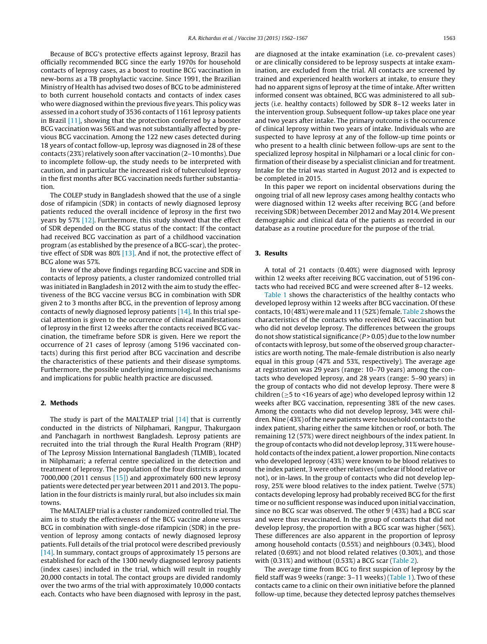Because of BCG's protective effects against leprosy, Brazil has officially recommended BCG since the early 1970s for household contacts of leprosy cases, as a boost to routine BCG vaccination in new-borns as a TB prophylactic vaccine. Since 1991, the Brazilian Ministry of Health has advised two doses of BCG to be administered to both current household contacts and contacts of index cases who were diagnosed within the previous five years. This policy was assessed in a cohort study of 3536 contacts of 1161 leprosy patients in Brazil [\[11\],](#page-5-0) showing that the protection conferred by a booster BCG vaccination was 56% and was not substantially affected by previous BCG vaccination. Among the 122 new cases detected during 18 years of contact follow-up, leprosy was diagnosed in 28 of these contacts (23%) relatively soon after vaccination (2–10 months). Due to incomplete follow-up, the study needs to be interpreted with caution, and in particular the increased risk of tuberculoid leprosy in the first months after BCG vaccination needs further substantiation.

The COLEP study in Bangladesh showed that the use of a single dose of rifampicin (SDR) in contacts of newly diagnosed leprosy patients reduced the overall incidence of leprosy in the first two years by 57% [\[12\].](#page-5-0) Furthermore, this study showed that the effect of SDR depended on the BCG status of the contact: If the contact had received BCG vaccination as part of a childhood vaccination program (as established by the presence of a BCG-scar), the protective effect of SDR was 80% [\[13\].](#page-5-0) And if not, the protective effect of BCG alone was 57%.

In view of the above findings regarding BCG vaccine and SDR in contacts of leprosy patients, a cluster randomized controlled trial was initiated in Bangladesh in 2012 with the aim to study the effectiveness of the BCG vaccine versus BCG in combination with SDR given 2 to 3 months after BCG, in the prevention of leprosy among contacts of newly diagnosed leprosy patients [\[14\].](#page-5-0) In this trial special attention is given to the occurrence of clinical manifestations of leprosy in the first 12 weeks after the contacts received BCG vaccination, the timeframe before SDR is given. Here we report the occurrence of 21 cases of leprosy (among 5196 vaccinated contacts) during this first period after BCG vaccination and describe the characteristics of these patients and their disease symptoms. Furthermore, the possible underlying immunological mechanisms and implications for public health practice are discussed.

#### **2. Methods**

The study is part of the MALTALEP trial [\[14\]](#page-5-0) that is currently conducted in the districts of Nilphamari, Rangpur, Thakurgaon and Panchagarh in northwest Bangladesh. Leprosy patients are recruited into the trial through the Rural Health Program (RHP) of The Leprosy Mission International Bangladesh (TLMIB), located in Nilphamari; a referral centre specialized in the detection and treatment of leprosy. The population of the four districts is around 7000,000 (2011 census  $[15]$ ) and approximately 600 new leprosy patients were detected per year between 2011 and 2013. The population in the four districts is mainly rural, but also includes six main towns.

The MALTALEP trial is a cluster randomized controlled trial. The aim is to study the effectiveness of the BCG vaccine alone versus BCG in combination with single-dose rifampicin (SDR) in the prevention of leprosy among contacts of newly diagnosed leprosy patients. Full details of the trial protocol were described previously [\[14\].](#page-5-0) In summary, contact groups of approximately 15 persons are established for each of the 1300 newly diagnosed leprosy patients (index cases) included in the trial, which will result in roughly 20,000 contacts in total. The contact groups are divided randomly over the two arms of the trial with approximately 10,000 contacts each. Contacts who have been diagnosed with leprosy in the past, are diagnosed at the intake examination (i.e. co-prevalent cases) or are clinically considered to be leprosy suspects at intake examination, are excluded from the trial. All contacts are screened by trained and experienced health workers at intake, to ensure they had no apparent signs of leprosy at the time of intake. After written informed consent was obtained, BCG was administered to all subjects (i.e. healthy contacts) followed by SDR 8–12 weeks later in the intervention group. Subsequent follow-up takes place one year and two years after intake. The primary outcome is the occurrence of clinical leprosy within two years of intake. Individuals who are suspected to have leprosy at any of the follow-up time points or who present to a health clinic between follow-ups are sent to the specialized leprosy hospital in Nilphamari or a local clinic for confirmation of their disease by a specialist clinician and for treatment. Intake for the trial was started in August 2012 and is expected to be completed in 2015.

In this paper we report on incidental observations during the ongoing trial of all new leprosy cases among healthy contacts who were diagnosed within 12 weeks after receiving BCG (and before receiving SDR) between December 2012 and May 2014. We present demographic and clinical data of the patients as recorded in our database as a routine procedure for the purpose of the trial.

# **3. Results**

A total of 21 contacts (0.40%) were diagnosed with leprosy within 12 weeks after receiving BCG vaccination, out of 5196 contacts who had received BCG and were screened after 8–12 weeks.

[Table](#page-2-0) 1 shows the characteristics of the healthy contacts who developed leprosy within 12 weeks after BCG vaccination. Of these contacts, 10 (48%) were male and 11 (52%) female. [Table](#page-2-0) 2 shows the characteristics of the contacts who received BCG vaccination but who did not develop leprosy. The differences between the groups do not show statistical significance  $(P > 0.05)$  due to the low number of contacts with leprosy, but some of the observed group characteristics are worth noting. The male-female distribution is also nearly equal in this group (47% and 53%, respectively). The average age at registration was 29 years (range: 10–70 years) among the contacts who developed leprosy, and 28 years (range: 5–90 years) in the group of contacts who did not develop leprosy. There were 8 children ( $\geq$ 5 to <16 years of age) who developed leprosy within 12 weeks after BCG vaccination, representing 38% of the new cases. Among the contacts who did not develop leprosy, 34% were children. Nine (43%) of the new patients were household contacts to the index patient, sharing either the same kitchen or roof, or both. The remaining 12 (57%) were direct neighbours of the index patient. In the group of contacts who did not develop leprosy, 31% were household contacts of the index patient, a lower proportion. Nine contacts who developed leprosy (43%) were known to be blood relatives to the index patient, 3 were other relatives (unclear if blood relative or not), or in-laws. In the group of contacts who did not develop leprosy, 25% were blood relatives to the index patient. Twelve (57%) contacts developing leprosy had probably received BCG for the first time or no sufficient response was induced upon initial vaccination, since no BCG scar was observed. The other 9 (43%) had a BCG scar and were thus revaccinated. In the group of contacts that did not develop leprosy, the proportion with a BCG scar was higher (56%). These differences are also apparent in the proportion of leprosy among household contacts (0.55%) and neighbours (0.34%), blood related (0.69%) and not blood related relatives (0.30%), and those with (0.31%) and without (0.53%) a BCG scar [\(Table](#page-2-0) 2).

The average time from BCG to first suspicion of leprosy by the field staff was 9 weeks (range: 3–11 weeks) ([Table](#page-2-0) 1). Two of these contacts came to a clinic on their own initiative before the planned follow-up time, because they detected leprosy patches themselves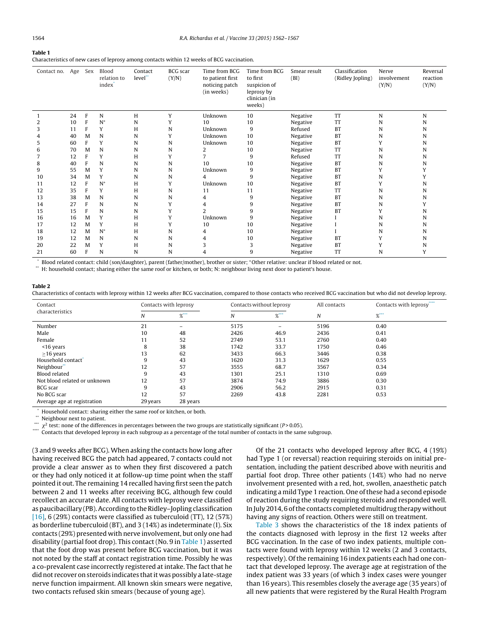# <span id="page-2-0"></span>**Table 1**

Characteristics of new cases of leprosy among contacts within 12 weeks of BCG vaccination.

| Contact no. | Age | Sex          | Blood<br>relation to<br>index <sup>*</sup> | Contact<br>level* | <b>BCG</b> scar<br>(Y/N) | Time from BCG<br>to patient first<br>noticing patch<br>(in weeks) | Time from BCG<br>to first<br>suspicion of<br>leprosy by<br>clinician (in<br>weeks) | Smear result<br>(BI) | Classification<br>(Ridley Jopling) | Nerve<br>involvement<br>(Y/N) | Reversal<br>reaction<br>(Y/N) |
|-------------|-----|--------------|--------------------------------------------|-------------------|--------------------------|-------------------------------------------------------------------|------------------------------------------------------------------------------------|----------------------|------------------------------------|-------------------------------|-------------------------------|
|             | 24  | $\mathbf{F}$ | N                                          | H                 | Y                        | Unknown                                                           | 10                                                                                 | Negative             | <b>TT</b>                          | N                             | N                             |
| 2           | 10  | F            | $N^*$                                      | N                 | Υ                        | 10                                                                | 10                                                                                 | Negative             | TT                                 | N                             | N                             |
| 3           | 11  | F            | Y                                          | H                 | N                        | Unknown                                                           | 9                                                                                  | Refused              | <b>BT</b>                          | N                             | N                             |
| 4           | 40  | M            | N                                          | N                 | Υ                        | Unknown                                                           | 10                                                                                 | Negative             | <b>BT</b>                          | N                             | N                             |
| 5           | 60  | F            | Y                                          | N                 | N                        | Unknown                                                           | 10                                                                                 | Negative             | <b>BT</b>                          | Y                             | N                             |
| 6           | 70  | M            | N                                          | N                 | N                        | 2                                                                 | 10                                                                                 | Negative             | <b>TT</b>                          | N                             | N                             |
|             | 12  | F            | Y                                          | H                 | Υ                        | 7                                                                 | 9                                                                                  | Refused              | <b>TT</b>                          | N                             | N                             |
| 8           | 40  | F            | N                                          | N                 | N                        | 10                                                                | 10                                                                                 | Negative             | <b>BT</b>                          | N                             | N                             |
| 9           | 55  | M            | Y                                          | N                 | N                        | Unknown                                                           | 9                                                                                  | Negative             | <b>BT</b>                          |                               |                               |
| 10          | 34  | M            | Y                                          | N                 | N                        | 4                                                                 | 9                                                                                  | Negative             | <b>BT</b>                          | N                             |                               |
| 11          | 12  | F            | $N^+$                                      | H                 | Υ                        | Unknown                                                           | 10                                                                                 | Negative             | <b>BT</b>                          | Υ                             | N                             |
| 12          | 35  | F            | Y                                          | H                 | N                        | 11                                                                | 11                                                                                 | Negative             | <b>TT</b>                          | N                             | N                             |
| 13          | 38  | M            | N                                          | N                 | N                        | 4                                                                 | 9                                                                                  | Negative             | <b>BT</b>                          | N                             | N                             |
| 14          | 27  | F            | N                                          | N                 | Υ                        | 4                                                                 | 9                                                                                  | Negative             | <b>BT</b>                          | N                             |                               |
| 15          | 15  | F            | N                                          | N                 | Υ                        | 2                                                                 | 9                                                                                  | Negative             | <b>BT</b>                          | Υ                             | N                             |
| 16          | 16  | M            | Y                                          | H                 | Υ                        | Unknown                                                           | 9                                                                                  | Negative             |                                    | N                             | N                             |
| 17          | 12  | M            | Y                                          | H                 | Υ                        | 10                                                                | 10                                                                                 | Negative             |                                    | N                             | N                             |
| 18          | 12  | M            | $N^*$                                      | H                 | N                        | 4                                                                 | 10                                                                                 | Negative             |                                    | N                             | N                             |
| 19          | 12  | M            | N                                          | N                 | N                        | 4                                                                 | 10                                                                                 | Negative             | <b>BT</b>                          |                               | N                             |
| 20          | 22  | M            | Y                                          | H                 | N                        | 3                                                                 | 3                                                                                  | Negative             | <b>BT</b>                          | Y                             | N                             |
| 21          | 60  | F            | N                                          | N                 | N                        | 4                                                                 | 9                                                                                  | Negative             | TT                                 | N                             | Y                             |

\* Blood related contact: child (son/daughter), parent (father/mother), brother or sister; +Other relative: unclear if blood related or not.

\*\* H: household contact; sharing either the same roof or kitchen, or both; N: neighbour living next door to patient's house.

#### **Table 2**

Characteristics of contacts with leprosy within 12 weeks after BCG vaccination, compared to those contacts who received BCG vaccination but who did not develop leprosy.

| Contact                      | Contacts with leprosy |                 | Contacts without leprosy |                   | All contacts | Contacts with leprosy****                                                                                                                                                                                                                                                                                              |  |
|------------------------------|-----------------------|-----------------|--------------------------|-------------------|--------------|------------------------------------------------------------------------------------------------------------------------------------------------------------------------------------------------------------------------------------------------------------------------------------------------------------------------|--|
| characteristics              | Ν                     | $%$ ***         | $%$ ***<br>N             |                   | N            | $%$ $\frac{1}{2}$ $\frac{1}{2}$ $\frac{1}{2}$ $\frac{1}{2}$ $\frac{1}{2}$ $\frac{1}{2}$ $\frac{1}{2}$ $\frac{1}{2}$ $\frac{1}{2}$ $\frac{1}{2}$ $\frac{1}{2}$ $\frac{1}{2}$ $\frac{1}{2}$ $\frac{1}{2}$ $\frac{1}{2}$ $\frac{1}{2}$ $\frac{1}{2}$ $\frac{1}{2}$ $\frac{1}{2}$ $\frac{1}{2}$ $\frac{1}{2}$ $\frac{1}{2$ |  |
| Number                       | 21                    | $\qquad \qquad$ | 5175                     | $\qquad \qquad =$ | 5196         | 0.40                                                                                                                                                                                                                                                                                                                   |  |
| Male                         | 10                    | 48              | 2426                     | 46.9              | 2436         | 0.41                                                                                                                                                                                                                                                                                                                   |  |
| Female                       | 11                    | 52              | 2749                     | 53.1              | 2760         | 0.40                                                                                                                                                                                                                                                                                                                   |  |
| <16 years                    | 8                     | 38              | 1742                     | 33.7              | 1750         | 0.46                                                                                                                                                                                                                                                                                                                   |  |
| $\geq$ 16 years              | 13                    | 62              | 3433                     | 66.3              | 3446         | 0.38                                                                                                                                                                                                                                                                                                                   |  |
| Household contact            | 9                     | 43              | 1620                     | 31.3              | 1629         | 0.55                                                                                                                                                                                                                                                                                                                   |  |
| Neighbour"                   | 12                    | 57              | 3555                     | 68.7              | 3567         | 0.34                                                                                                                                                                                                                                                                                                                   |  |
| Blood related                | 9                     | 43              | 1301                     | 25.1              | 1310         | 0.69                                                                                                                                                                                                                                                                                                                   |  |
| Not blood related or unknown | 12                    | 57              | 3874                     | 74.9              | 3886         | 0.30                                                                                                                                                                                                                                                                                                                   |  |
| <b>BCG</b> scar              | 9                     | 43              | 2906                     | 56.2              | 2915         | 0.31                                                                                                                                                                                                                                                                                                                   |  |
| No BCG scar                  | 12                    | 57              | 2269                     | 43.8              | 2281         | 0.53                                                                                                                                                                                                                                                                                                                   |  |
| Average age at registration  | 29 years              | 28 years        |                          |                   |              |                                                                                                                                                                                                                                                                                                                        |  |

Household contact: sharing either the same roof or kitchen, or both.

Neighbour next to patient.

 $*^*$   $\chi^2$  test: none of the differences in percentages between the two groups are statistically significant (P>0.05).

Contacts that developed leprosy in each subgroup as a percentage of the total number of contacts in the same subgroup.

(3 and 9 weeks after BCG). When asking the contacts how long after having received BCG the patch had appeared, 7 contacts could not provide a clear answer as to when they first discovered a patch or they had only noticed it at follow-up time point when the staff pointed it out. The remaining 14 recalled having first seen the patch between 2 and 11 weeks after receiving BCG, although few could recollect an accurate date. All contacts with leprosy were classified as paucibacillary (PB). According to the Ridley–Jopling classification [ $16$ ], 6 (29%) contacts were classified as tuberculoid (TT), 12 (57%) as borderline tuberculoid (BT), and 3 (14%) as indeterminate (I). Six contacts (29%) presented with nerve involvement, but only one had disability (partial foot drop). This contact (No. 9 in Table 1) asserted that the foot drop was present before BCG vaccination, but it was not noted by the staff at contact registration time. Possibly he was a co-prevalent case incorrectly registered at intake. The fact that he did not recover on steroids indicates that it was possibly a late-stage nerve function impairment. All known skin smears were negative, two contacts refused skin smears (because of young age).

Of the 21 contacts who developed leprosy after BCG, 4 (19%) had Type 1 (or reversal) reaction requiring steroids on initial presentation, including the patient described above with neuritis and partial foot drop. Three other patients (14%) who had no nerve involvement presented with a red, hot, swollen, anaesthetic patch indicating a mild Type 1 reaction. One of these had a second episode of reaction during the study requiring steroids and responded well. In July 2014, 6 of the contacts completed multidrug therapy without having any signs of reaction. Others were still on treatment.

[Table](#page-3-0) 3 shows the characteristics of the 18 index patients of the contacts diagnosed with leprosy in the first 12 weeks after BCG vaccination. In the case of two index patients, multiple contacts were found with leprosy within 12 weeks (2 and 3 contacts, respectively). Of the remaining 16 index patients each had one contact that developed leprosy. The average age at registration of the index patient was 33 years (of which 3 index cases were younger than 16 years). This resembles closely the average age (35 years) of all new patients that were registered by the Rural Health Program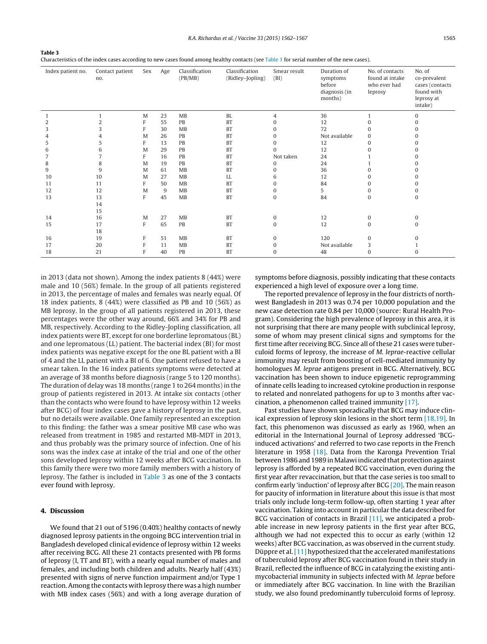<span id="page-3-0"></span>**Table 3** Characteristics of the index cases according to new cases found among healthy contacts (see [Table](#page-2-0) 1 for serial number of the new cases).

| Index patient no. | Contact patient<br>no. | Sex | Age | Classification<br>(PB/MB) | Classification<br>(Ridley-Jopling) | Smear result<br>(BI) | Duration of<br>symptoms<br>before<br>diagnosis (in<br>months) | No. of contacts<br>found at intake<br>who ever had<br>leprosy | No. of<br>co-prevalent<br>cases (contacts<br>found with<br>leprosy at<br>intake) |
|-------------------|------------------------|-----|-----|---------------------------|------------------------------------|----------------------|---------------------------------------------------------------|---------------------------------------------------------------|----------------------------------------------------------------------------------|
|                   |                        | M   | 23  | MB                        | <b>BL</b>                          | 4                    | 36                                                            |                                                               | $\mathbf{0}$                                                                     |
| 2                 |                        | F   | 55  | PB                        | <b>BT</b>                          | $\Omega$             | 12                                                            | $\Omega$                                                      |                                                                                  |
| 3                 | 3                      | F   | 30  | MB                        | <b>BT</b>                          | $\mathbf{0}$         | 72                                                            | 0                                                             |                                                                                  |
|                   |                        | M   | 26  | PB                        | <b>BT</b>                          | $\Omega$             | Not available                                                 | $\Omega$                                                      |                                                                                  |
| 5                 | 5                      | F   | 13  | PB                        | <b>BT</b>                          | $\Omega$             | 12                                                            | 0                                                             |                                                                                  |
| 6                 | 6                      | M   | 29  | PB                        | <b>BT</b>                          | $\Omega$             | 12                                                            |                                                               |                                                                                  |
|                   |                        | F   | 16  | PB                        | <b>BT</b>                          | Not taken            | 24                                                            |                                                               |                                                                                  |
| 8                 | 8                      | M   | 19  | PB                        | <b>BT</b>                          | $\Omega$             | 24                                                            |                                                               |                                                                                  |
| 9                 | 9                      | M   | 61  | MB                        | <b>BT</b>                          | $\Omega$             | 36                                                            |                                                               |                                                                                  |
| 10                | 10                     | M   | 27  | MB                        | LL                                 | 6                    | 12                                                            |                                                               |                                                                                  |
| 11                | 11                     | F   | 50  | MB                        | <b>BT</b>                          | $\Omega$             | 84                                                            |                                                               |                                                                                  |
| 12                | 12                     | M   | 9   | MB                        | <b>BT</b>                          | $\mathbf{0}$         | 5                                                             | 0                                                             |                                                                                  |
| 13                | 13                     | F   | 45  | MB                        | <b>BT</b>                          | $\bf{0}$             | 84                                                            | $\mathbf{0}$                                                  | 0                                                                                |
|                   | 14                     |     |     |                           |                                    |                      |                                                               |                                                               |                                                                                  |
|                   | 15                     |     |     |                           |                                    |                      |                                                               |                                                               |                                                                                  |
| 14                | 16                     | M   | 27  | MB                        | <b>BT</b>                          | $\mathbf{0}$         | 12                                                            | $\mathbf{0}$                                                  | $\Omega$                                                                         |
| 15                | 17                     | F   | 65  | PB                        | <b>BT</b>                          | $\mathbf{0}$         | 12                                                            | $\mathbf{0}$                                                  |                                                                                  |
|                   | 18                     |     |     |                           |                                    |                      |                                                               |                                                               |                                                                                  |
| 16                | 19                     | F   | 51  | MB                        | <b>BT</b>                          | $\mathbf{0}$         | 120                                                           | $\mathbf{0}$                                                  |                                                                                  |
| 17                | 20                     | F   | 11  | MB                        | <b>BT</b>                          | $\mathbf{0}$         | Not available                                                 | 3                                                             |                                                                                  |
| 18                | 21                     | F   | 40  | PB                        | <b>BT</b>                          | $\mathbf{0}$         | 48                                                            | $\mathbf{0}$                                                  | 0                                                                                |

in 2013 (data not shown). Among the index patients 8 (44%) were male and 10 (56%) female. In the group of all patients registered in 2013, the percentage of males and females was nearly equal. Of 18 index patients, 8 (44%) were classified as PB and 10 (56%) as MB leprosy. In the group of all patients registered in 2013, these percentages were the other way around, 66% and 34% for PB and MB, respectively. According to the Ridley-Jopling classification, all index patients were BT, except for one borderline lepromatous (BL) and one lepromatous (LL) patient. The bacterial index (BI) for most index patients was negative except for the one BL patient with a BI of 4 and the LL patient with a BI of 6. One patient refused to have a smear taken. In the 16 index patients symptoms were detected at an average of 38 months before diagnosis (range 5 to 120 months). The duration of delay was 18 months (range 1 to 264 months) in the group of patients registered in 2013. At intake six contacts (other than the contacts who were found to have leprosy within 12 weeks after BCG) of four index cases gave a history of leprosy in the past, but no details were available. One family represented an exception to this finding: the father was a smear positive MB case who was released from treatment in 1985 and restarted MB-MDT in 2013, and thus probably was the primary source of infection. One of his sons was the index case at intake of the trial and one of the other sons developed leprosy within 12 weeks after BCG vaccination. In this family there were two more family members with a history of leprosy. The father is included in Table 3 as one of the 3 contacts ever found with leprosy.

# **4. Discussion**

We found that 21 out of 5196 (0.40%) healthy contacts of newly diagnosed leprosy patients in the ongoing BCG intervention trial in Bangladesh developed clinical evidence of leprosy within 12 weeks after receiving BCG. All these 21 contacts presented with PB forms of leprosy (I, TT and BT), with a nearly equal number of males and females, and including both children and adults. Nearly half (43%) presented with signs of nerve function impairment and/or Type 1 reaction. Among the contacts with leprosy there was a high number with MB index cases (56%) and with a long average duration of symptoms before diagnosis, possibly indicating that these contacts experienced a high level of exposure over a long time.

The reported prevalence of leprosy in the four districts of northwest Bangladesh in 2013 was 0.74 per 10,000 population and the new case detection rate 0.84 per 10,000 (source: Rural Health Program). Considering the high prevalence of leprosy in this area, it is not surprising that there are many people with subclinical leprosy, some of whom may present clinical signs and symptoms for the first time after receiving BCG. Since all of these 21 cases were tuberculoid forms of leprosy, the increase of M. leprae-reactive cellular immunity may result from boosting of cell-mediated immunity by homologues M. leprae antigens present in BCG. Alternatively, BCG vaccination has been shown to induce epigenetic reprogramming of innate cells leading to increased cytokine production in response to related and nonrelated pathogens for up to 3 months after vaccination, a phenomenon called trained immunity [\[17\].](#page-5-0)

Past studies have shown sporadically that BCG may induce clinical expression of leprosy skin lesions in the short term [\[18,19\].](#page-5-0) In fact, this phenomenon was discussed as early as 1960, when an editorial in the International Journal of Leprosy addressed 'BCGinduced activations' and referred to two case reports in the French literature in 1958 [\[18\].](#page-5-0) Data from the Karonga Prevention Trial between 1986 and 1989 in Malawi indicated that protection against leprosy is afforded by a repeated BCG vaccination, even during the first year after revaccination, but that the case series is too small to confirm early 'induction' of leprosy after BCG [\[20\].](#page-5-0) The main reason for paucity of information in literature about this issue is that most trials only include long-term follow-up, often starting 1 year after vaccination. Taking into accountin particular the data described for BCG vaccination of contacts in Brazil [\[11\],](#page-5-0) we anticipated a probable increase in new leprosy patients in the first year after BCG, although we had not expected this to occur as early (within 12 weeks) after BCG vaccination, as was observed in the current study. Düppre et al. [\[11\]](#page-5-0) hypothesized that the accelerated manifestations of tuberculoid leprosy after BCG vaccination found in their study in Brazil, reflected the influence of BCG in catalyzing the existing antimycobacterial immunity in subjects infected with M. leprae before or immediately after BCG vaccination. In line with the Brazilian study, we also found predominantly tuberculoid forms of leprosy.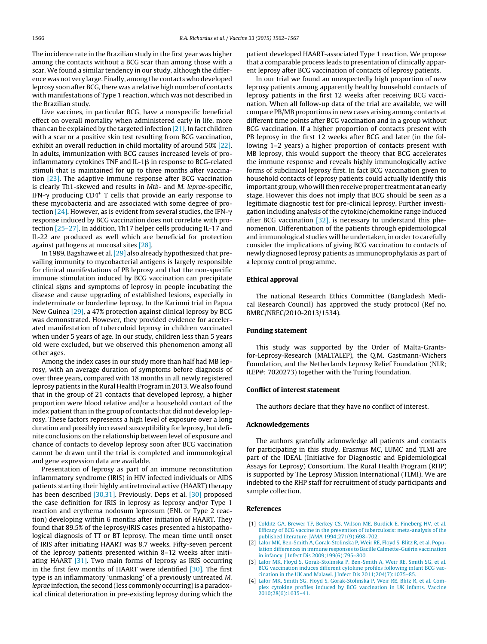<span id="page-4-0"></span>The incidence rate in the Brazilian study in the first year was higher among the contacts without a BCG scar than among those with a scar. We found a similar tendency in our study, although the difference was not very large. Finally, among the contacts who developed leprosy soon after BCG, there was a relative high number of contacts with manifestations of Type 1 reaction, which was not described in the Brazilian study.

Live vaccines, in particular BCG, have a nonspecific beneficial effect on overall mortality when administered early in life, more than can be explained by the targeted infection  $[21]$ . In fact children with a scar or a positive skin test resulting from BCG vaccination, exhibit an overall reduction in child mortality of around 50% [\[22\].](#page-5-0) In adults, immunization with BCG causes increased levels of proinflammatory cytokines TNF and IL-1 $\beta$  in response to BCG-related stimuli that is maintained for up to three months after vaccination [\[23\].](#page-5-0) The adaptive immune response after BCG vaccination is clearly Th1-skewed and results in Mtb- and M. leprae-specific, IFN- $\gamma$  producing CD4<sup>+</sup> T cells that provide an early response to these mycobacteria and are associated with some degree of protection  $[24]$ . However, as is evident from several studies, the IFN- $\gamma$ response induced by BCG vaccination does not correlate with protection [\[25–27\].](#page-5-0) In addition, Th17 helper cells producing IL-17 and IL-22 are produced as well which are beneficial for protection against pathogens at mucosal sites [\[28\].](#page-5-0)

In 1989, Bagshawe et al.[\[29\]](#page-5-0) also already hypothesized that prevailing immunity to mycobacterial antigens is largely responsible for clinical manifestations of PB leprosy and that the non-specific immune stimulation induced by BCG vaccination can precipitate clinical signs and symptoms of leprosy in people incubating the disease and cause upgrading of established lesions, especially in indeterminate or borderline leprosy. In the Karimui trial in Papua New Guinea [\[29\],](#page-5-0) a 47% protection against clinical leprosy by BCG was demonstrated. However, they provided evidence for accelerated manifestation of tuberculoid leprosy in children vaccinated when under 5 years of age. In our study, children less than 5 years old were excluded, but we observed this phenomenon among all other ages.

Among the index cases in our study more than half had MB leprosy, with an average duration of symptoms before diagnosis of over three years, compared with 18 months in all newly registered leprosy patients in the Rural Health Program in 2013.We also found that in the group of 21 contacts that developed leprosy, a higher proportion were blood relative and/or a household contact of the index patient than in the group of contacts that did not develop leprosy. These factors represents a high level of exposure over a long duration and possibly increased susceptibility for leprosy, but definite conclusions on the relationship between level of exposure and chance of contacts to develop leprosy soon after BCG vaccination cannot be drawn until the trial is completed and immunological and gene expression data are available.

Presentation of leprosy as part of an immune reconstitution inflammatory syndrome (IRIS) in HIV infected individuals or AIDS patients starting their highly antiretroviral active (HAART) therapy has been described [\[30,31\].](#page-5-0) Previously, Deps et al. [\[30\]](#page-5-0) proposed the case definition for IRIS in leprosy as leprosy and/or Type 1 reaction and erythema nodosum leprosum (ENL or Type 2 reaction) developing within 6 months after initiation of HAART. They found that 89.5% of the leprosy/IRIS cases presented a histopathological diagnosis of TT or BT leprosy. The mean time until onset of IRIS after initiating HAART was 8.7 weeks. Fifty-seven percent of the leprosy patients presented within 8–12 weeks after initiating HAART [\[31\].](#page-5-0) Two main forms of leprosy as IRIS occurring in the first few months of HAART were identified [\[30\].](#page-5-0) The first type is an inflammatory 'unmasking' of a previously untreated M. leprae infection, the second (less commonly occurring) is a paradoxical clinical deterioration in pre-existing leprosy during which the

patient developed HAART-associated Type 1 reaction. We propose that a comparable process leads to presentation of clinically apparent leprosy after BCG vaccination of contacts of leprosy patients.

In our trial we found an unexpectedly high proportion of new leprosy patients among apparently healthy household contacts of leprosy patients in the first 12 weeks after receiving BCG vaccination. When all follow-up data of the trial are available, we will compare PB/MB proportions in new cases arising among contacts at different time points after BCG vaccination and in a group without BCG vaccination. If a higher proportion of contacts present with PB leprosy in the first 12 weeks after BCG and later (in the following 1–2 years) a higher proportion of contacts present with MB leprosy, this would support the theory that BCG accelerates the immune response and reveals highly immunologically active forms of subclinical leprosy first. In fact BCG vaccination given to household contacts of leprosy patients could actually identify this important group, who will then receive proper treatment at an early stage. However this does not imply that BCG should be seen as a legitimate diagnostic test for pre-clinical leprosy. Further investigation including analysis of the cytokine/chemokine range induced after BCG vaccination  $[32]$ , is necessary to understand this phenomenon. Differentiation of the patients through epidemiological and immunological studies will be undertaken, in order to carefully consider the implications of giving BCG vaccination to contacts of newly diagnosed leprosy patients as immunoprophylaxis as part of a leprosy control programme.

# **Ethical approval**

The national Research Ethics Committee (Bangladesh Medical Research Council) has approved the study protocol (Ref no. BMRC/NREC/2010-2013/1534).

## **Funding statement**

This study was supported by the Order of Malta-Grantsfor-Leprosy-Research (MALTALEP), the Q.M. Gastmann-Wichers Foundation, and the Netherlands Leprosy Relief Foundation (NLR; ILEP#: 7020273) together with the Turing Foundation.

## **Conflict of interest statement**

The authors declare that they have no conflict of interest.

# **Acknowledgements**

The authors gratefully acknowledge all patients and contacts for participating in this study. Erasmus MC, LUMC and TLMI are part of the IDEAL (Initiative for Diagnostic and Epidemiological Assays for Leprosy) Consortium. The Rural Health Program (RHP) is supported by The Leprosy Mission International (TLMI). We are indebted to the RHP staff for recruitment of study participants and sample collection.

# **References**

- [1] [Colditz](http://refhub.elsevier.com/S0264-410X(15)00183-8/sbref0165) [GA,](http://refhub.elsevier.com/S0264-410X(15)00183-8/sbref0165) [Brewer](http://refhub.elsevier.com/S0264-410X(15)00183-8/sbref0165) [TF,](http://refhub.elsevier.com/S0264-410X(15)00183-8/sbref0165) [Berkey](http://refhub.elsevier.com/S0264-410X(15)00183-8/sbref0165) [CS,](http://refhub.elsevier.com/S0264-410X(15)00183-8/sbref0165) [Wilson](http://refhub.elsevier.com/S0264-410X(15)00183-8/sbref0165) [ME,](http://refhub.elsevier.com/S0264-410X(15)00183-8/sbref0165) [Burdick](http://refhub.elsevier.com/S0264-410X(15)00183-8/sbref0165) [E,](http://refhub.elsevier.com/S0264-410X(15)00183-8/sbref0165) [Fineberg](http://refhub.elsevier.com/S0264-410X(15)00183-8/sbref0165) [HV,](http://refhub.elsevier.com/S0264-410X(15)00183-8/sbref0165) [et](http://refhub.elsevier.com/S0264-410X(15)00183-8/sbref0165) [al.](http://refhub.elsevier.com/S0264-410X(15)00183-8/sbref0165) [Efficacy](http://refhub.elsevier.com/S0264-410X(15)00183-8/sbref0165) [of](http://refhub.elsevier.com/S0264-410X(15)00183-8/sbref0165) [BCG](http://refhub.elsevier.com/S0264-410X(15)00183-8/sbref0165) [vaccine](http://refhub.elsevier.com/S0264-410X(15)00183-8/sbref0165) [in](http://refhub.elsevier.com/S0264-410X(15)00183-8/sbref0165) [the](http://refhub.elsevier.com/S0264-410X(15)00183-8/sbref0165) [prevention](http://refhub.elsevier.com/S0264-410X(15)00183-8/sbref0165) [of](http://refhub.elsevier.com/S0264-410X(15)00183-8/sbref0165) [tuberculosis:](http://refhub.elsevier.com/S0264-410X(15)00183-8/sbref0165) [meta-analysis](http://refhub.elsevier.com/S0264-410X(15)00183-8/sbref0165) [of](http://refhub.elsevier.com/S0264-410X(15)00183-8/sbref0165) [the](http://refhub.elsevier.com/S0264-410X(15)00183-8/sbref0165) [published](http://refhub.elsevier.com/S0264-410X(15)00183-8/sbref0165) [literature.](http://refhub.elsevier.com/S0264-410X(15)00183-8/sbref0165) [JAMA](http://refhub.elsevier.com/S0264-410X(15)00183-8/sbref0165) [1994;271\(9\):698](http://refhub.elsevier.com/S0264-410X(15)00183-8/sbref0165)–[702.](http://refhub.elsevier.com/S0264-410X(15)00183-8/sbref0165)
- [2] [Lalor](http://refhub.elsevier.com/S0264-410X(15)00183-8/sbref0170) [MK,](http://refhub.elsevier.com/S0264-410X(15)00183-8/sbref0170) [Ben-Smith](http://refhub.elsevier.com/S0264-410X(15)00183-8/sbref0170) [A,](http://refhub.elsevier.com/S0264-410X(15)00183-8/sbref0170) [Gorak-Stolinska](http://refhub.elsevier.com/S0264-410X(15)00183-8/sbref0170) [P,](http://refhub.elsevier.com/S0264-410X(15)00183-8/sbref0170) [Weir](http://refhub.elsevier.com/S0264-410X(15)00183-8/sbref0170) [RE,](http://refhub.elsevier.com/S0264-410X(15)00183-8/sbref0170) [Floyd](http://refhub.elsevier.com/S0264-410X(15)00183-8/sbref0170) [S,](http://refhub.elsevier.com/S0264-410X(15)00183-8/sbref0170) [Blitz](http://refhub.elsevier.com/S0264-410X(15)00183-8/sbref0170) [R,](http://refhub.elsevier.com/S0264-410X(15)00183-8/sbref0170) [et](http://refhub.elsevier.com/S0264-410X(15)00183-8/sbref0170) [al.](http://refhub.elsevier.com/S0264-410X(15)00183-8/sbref0170) [Popu](http://refhub.elsevier.com/S0264-410X(15)00183-8/sbref0170)[lation](http://refhub.elsevier.com/S0264-410X(15)00183-8/sbref0170) [differences](http://refhub.elsevier.com/S0264-410X(15)00183-8/sbref0170) [in](http://refhub.elsevier.com/S0264-410X(15)00183-8/sbref0170) [immune](http://refhub.elsevier.com/S0264-410X(15)00183-8/sbref0170) [responses](http://refhub.elsevier.com/S0264-410X(15)00183-8/sbref0170) [to](http://refhub.elsevier.com/S0264-410X(15)00183-8/sbref0170) [Bacille](http://refhub.elsevier.com/S0264-410X(15)00183-8/sbref0170) [Calmette-Guérin](http://refhub.elsevier.com/S0264-410X(15)00183-8/sbref0170) [vaccination](http://refhub.elsevier.com/S0264-410X(15)00183-8/sbref0170) [in](http://refhub.elsevier.com/S0264-410X(15)00183-8/sbref0170) [infancy.](http://refhub.elsevier.com/S0264-410X(15)00183-8/sbref0170) [J](http://refhub.elsevier.com/S0264-410X(15)00183-8/sbref0170) [Infect](http://refhub.elsevier.com/S0264-410X(15)00183-8/sbref0170) [Dis](http://refhub.elsevier.com/S0264-410X(15)00183-8/sbref0170) [2009;199\(6\):795](http://refhub.elsevier.com/S0264-410X(15)00183-8/sbref0170)–[800.](http://refhub.elsevier.com/S0264-410X(15)00183-8/sbref0170)
- [3] [Lalor](http://refhub.elsevier.com/S0264-410X(15)00183-8/sbref0175) [MK,](http://refhub.elsevier.com/S0264-410X(15)00183-8/sbref0175) [Floyd](http://refhub.elsevier.com/S0264-410X(15)00183-8/sbref0175) [S,](http://refhub.elsevier.com/S0264-410X(15)00183-8/sbref0175) [Gorak-Stolinska](http://refhub.elsevier.com/S0264-410X(15)00183-8/sbref0175) [P,](http://refhub.elsevier.com/S0264-410X(15)00183-8/sbref0175) [Ben-Smith](http://refhub.elsevier.com/S0264-410X(15)00183-8/sbref0175) [A,](http://refhub.elsevier.com/S0264-410X(15)00183-8/sbref0175) [Weir](http://refhub.elsevier.com/S0264-410X(15)00183-8/sbref0175) [RE,](http://refhub.elsevier.com/S0264-410X(15)00183-8/sbref0175) [Smith](http://refhub.elsevier.com/S0264-410X(15)00183-8/sbref0175) [SG,](http://refhub.elsevier.com/S0264-410X(15)00183-8/sbref0175) [et](http://refhub.elsevier.com/S0264-410X(15)00183-8/sbref0175) [al.](http://refhub.elsevier.com/S0264-410X(15)00183-8/sbref0175) [BCG](http://refhub.elsevier.com/S0264-410X(15)00183-8/sbref0175) [vaccination](http://refhub.elsevier.com/S0264-410X(15)00183-8/sbref0175) [induces](http://refhub.elsevier.com/S0264-410X(15)00183-8/sbref0175) [different](http://refhub.elsevier.com/S0264-410X(15)00183-8/sbref0175) [cytokine](http://refhub.elsevier.com/S0264-410X(15)00183-8/sbref0175) [profiles](http://refhub.elsevier.com/S0264-410X(15)00183-8/sbref0175) [following](http://refhub.elsevier.com/S0264-410X(15)00183-8/sbref0175) [infant](http://refhub.elsevier.com/S0264-410X(15)00183-8/sbref0175) [BCG](http://refhub.elsevier.com/S0264-410X(15)00183-8/sbref0175) [vac](http://refhub.elsevier.com/S0264-410X(15)00183-8/sbref0175)[cination](http://refhub.elsevier.com/S0264-410X(15)00183-8/sbref0175) [in](http://refhub.elsevier.com/S0264-410X(15)00183-8/sbref0175) [the](http://refhub.elsevier.com/S0264-410X(15)00183-8/sbref0175) [UK](http://refhub.elsevier.com/S0264-410X(15)00183-8/sbref0175) [and](http://refhub.elsevier.com/S0264-410X(15)00183-8/sbref0175) [Malawi.](http://refhub.elsevier.com/S0264-410X(15)00183-8/sbref0175) [J](http://refhub.elsevier.com/S0264-410X(15)00183-8/sbref0175) [Infect](http://refhub.elsevier.com/S0264-410X(15)00183-8/sbref0175) [Dis](http://refhub.elsevier.com/S0264-410X(15)00183-8/sbref0175) [2011;204\(7\):1075–85.](http://refhub.elsevier.com/S0264-410X(15)00183-8/sbref0175)
- [4] [Lalor](http://refhub.elsevier.com/S0264-410X(15)00183-8/sbref0180) [MK,](http://refhub.elsevier.com/S0264-410X(15)00183-8/sbref0180) [Smith](http://refhub.elsevier.com/S0264-410X(15)00183-8/sbref0180) [SG,](http://refhub.elsevier.com/S0264-410X(15)00183-8/sbref0180) [Floyd](http://refhub.elsevier.com/S0264-410X(15)00183-8/sbref0180) [S,](http://refhub.elsevier.com/S0264-410X(15)00183-8/sbref0180) [Gorak-Stolinska](http://refhub.elsevier.com/S0264-410X(15)00183-8/sbref0180) [P,](http://refhub.elsevier.com/S0264-410X(15)00183-8/sbref0180) [Weir](http://refhub.elsevier.com/S0264-410X(15)00183-8/sbref0180) [RE,](http://refhub.elsevier.com/S0264-410X(15)00183-8/sbref0180) [Blitz](http://refhub.elsevier.com/S0264-410X(15)00183-8/sbref0180) [R,](http://refhub.elsevier.com/S0264-410X(15)00183-8/sbref0180) [et](http://refhub.elsevier.com/S0264-410X(15)00183-8/sbref0180) [al.](http://refhub.elsevier.com/S0264-410X(15)00183-8/sbref0180) [Com](http://refhub.elsevier.com/S0264-410X(15)00183-8/sbref0180)[plex](http://refhub.elsevier.com/S0264-410X(15)00183-8/sbref0180) [cytokine](http://refhub.elsevier.com/S0264-410X(15)00183-8/sbref0180) [profiles](http://refhub.elsevier.com/S0264-410X(15)00183-8/sbref0180) [induced](http://refhub.elsevier.com/S0264-410X(15)00183-8/sbref0180) [by](http://refhub.elsevier.com/S0264-410X(15)00183-8/sbref0180) [BCG](http://refhub.elsevier.com/S0264-410X(15)00183-8/sbref0180) [vaccination](http://refhub.elsevier.com/S0264-410X(15)00183-8/sbref0180) [in](http://refhub.elsevier.com/S0264-410X(15)00183-8/sbref0180) [UK](http://refhub.elsevier.com/S0264-410X(15)00183-8/sbref0180) [infants.](http://refhub.elsevier.com/S0264-410X(15)00183-8/sbref0180) [Vaccine](http://refhub.elsevier.com/S0264-410X(15)00183-8/sbref0180) [2010;28\(6\):1635–41.](http://refhub.elsevier.com/S0264-410X(15)00183-8/sbref0180)